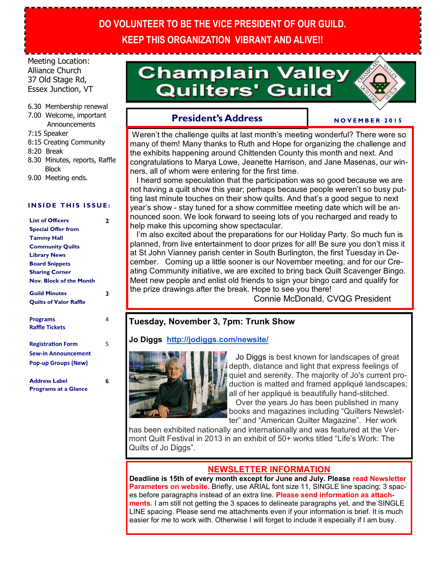## **DO VOLUNTEER TO BE THE VICE PRESIDENT OF OUR GUILD. KEEP THIS ORGANIZATION VIBRANT AND ALIVE!!**

Meeting Location: Alliance Church 37 Old Stage Rd, Essex Junction, VT

#### 6.30 Membership renewal

7.00 Welcome, important **Announcements** 

7:15 Speaker

- 8:15 Creating Community
- 8:20 Break
- 8.30 Minutes, reports, Raffle Block
- 9.00 Meeting ends.

#### **INSIDE THIS ISSUE:**

| <b>List of Officers</b>        | 2 |
|--------------------------------|---|
| <b>Special Offer from</b>      |   |
| <b>Tammy Hall</b>              |   |
| <b>Community Quilts</b>        |   |
| <b>Library News</b>            |   |
| <b>Board Snippets</b>          |   |
| <b>Sharing Corner</b>          |   |
| <b>Nov. Block of the Month</b> |   |
| <b>Guild Minutes</b>           | 3 |
| <b>Quilts of Valor Raffle</b>  |   |
| Programs                       | 4 |
| <b>Raffle Tickets</b>          |   |
| <b>Registration Form</b>       | 5 |
| <b>Sew-in Announcement</b>     |   |
| <b>Pop-up Groups (New)</b>     |   |
| <b>Address Label</b>           | 6 |
| <b>Programs at a Glance</b>    |   |

# **Champlain Valley Quilters' Guild**



**N O V E M B E R 2 0 1 5**

## **President's Address**

Weren't the challenge quilts at last month's meeting wonderful? There were so many of them! Many thanks to Ruth and Hope for organizing the challenge and the exhibits happening around Chittenden County this month and next. And congratulations to Marya Lowe, Jeanette Harrison, and Jane Masenas, our winners, all of whom were entering for the first time.

 I heard some speculation that the participation was so good because we are not having a quilt show this year; perhaps because people weren't so busy putting last minute touches on their show quilts. And that's a good segue to next year's show - stay tuned for a show committee meeting date which will be announced soon. We look forward to seeing lots of you recharged and ready to help make this upcoming show spectacular.

I'm also excited about the preparations for our Holiday Party. So much fun is planned, from live entertainment to door prizes for all! Be sure you don't miss it at St John Vianney parish center in South Burlington, the first Tuesday in December. Coming up a little sooner is our November meeting, and for our Creating Community initiative, we are excited to bring back Quilt Scavenger Bingo. Meet new people and enlist old friends to sign your bingo card and qualify for the prize drawings after the break. Hope to see you there!

Connie McDonald, CVQG President

## **Tuesday, November 3, 7pm: Trunk Show**

#### **Jo Diggs <http://jodiggs.com/newsite/>**



 Jo Diggs is best known for landscapes of great depth, distance and light that express feelings of quiet and serenity. The majority of Jo's current production is matted and framed appliqué landscapes; all of her appliqué is beautifully hand-stitched. Over the years Jo has been published in many books and magazines including "Quilters Newslet-

ter" and "American Quilter Magazine". Her work has been exhibited nationally and internationally and was featured at the Vermont Quilt Festival in 2013 in an exhibit of 50+ works titled "Life's Work: The Quilts of Jo Diggs".

#### **NEWSLETTER INFORMATION**

**Deadline is 15th of every month except for June and July. Please read Newsletter Parameters on website.** Briefly, use ARIAL font size 11, SINGLE line spacing; 3 spaces before paragraphs instead of an extra line. **Please send information as attachments.** I am still not getting the 3 spaces to delineate paragraphs yet, and the SINGLE LINE spacing. Please send me attachments even if your information is brief. It is much easier for me to work with. Otherwise I will forget to include it especially if I am busy.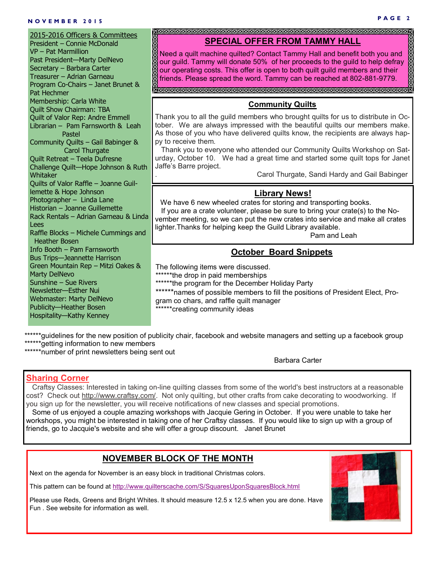## **P A G E 2 N O V E M B E R 2 0 1 5**

| 2015-2016 Officers & Committees<br>President - Connie McDonald<br>VP - Pat Marmillion<br>Past President-Marty DelNevo<br>Secretary - Barbara Carter<br>Treasurer - Adrian Garneau<br>Program Co-Chairs - Janet Brunet &<br>Pat Hechmer                                                                                                     | <b>SPECIAL OFFER FROM TAMMY HALL</b><br>888888<br>Need a quilt machine quilted? Contact Tammy Hall and benefit both you and<br>our guild. Tammy will donate 50% of her proceeds to the guild to help defray<br>our operating costs. This offer is open to both quilt guild members and their<br>friends. Please spread the word. Tammy can be reached at 802-881-9779.                                                                                                                                                                     |
|--------------------------------------------------------------------------------------------------------------------------------------------------------------------------------------------------------------------------------------------------------------------------------------------------------------------------------------------|--------------------------------------------------------------------------------------------------------------------------------------------------------------------------------------------------------------------------------------------------------------------------------------------------------------------------------------------------------------------------------------------------------------------------------------------------------------------------------------------------------------------------------------------|
| Membership: Carla White<br><b>Quilt Show Chairman: TBA</b><br>Quilt of Valor Rep: Andre Emmell<br>Librarian - Pam Farnsworth & Leah<br>Pastel<br>Community Quilts - Gail Babinger &<br><b>Carol Thurgate</b><br>Quilt Retreat - Teela Dufresne<br>Challenge Quilt-Hope Johnson & Ruth<br>Whitaker<br>Quilts of Valor Raffle - Joanne Guil- | <b>Community Quilts</b><br>Thank you to all the guild members who brought quilts for us to distribute in Oc-<br>tober. We are always impressed with the beautiful quilts our members make.<br>As those of you who have delivered quilts know, the recipients are always hap-<br>py to receive them.<br>Thank you to everyone who attended our Community Quilts Workshop on Sat-<br>urday, October 10. We had a great time and started some quilt tops for Janet<br>Jaffe's Barre project.<br>Carol Thurgate, Sandi Hardy and Gail Babinger |
| lemette & Hope Johnson<br>Photographer - Linda Lane<br>Historian - Joanne Guillemette<br>Rack Rentals - Adrian Garneau & Linda<br>Lees<br>Raffle Blocks - Michele Cummings and<br><b>Heather Bosen</b>                                                                                                                                     | <b>Library News!</b><br>We have 6 new wheeled crates for storing and transporting books.<br>If you are a crate volunteer, please be sure to bring your crate(s) to the No-<br>vember meeting, so we can put the new crates into service and make all crates<br>lighter. Thanks for helping keep the Guild Library available.<br>Pam and Leah                                                                                                                                                                                               |
| Info Booth - Pam Farnsworth<br><b>Bus Trips-Jeannette Harrison</b><br>Green Mountain Rep - Mitzi Oakes &<br><b>Marty DelNevo</b><br>Sunshine - Sue Rivers<br>Newsletter-Esther Nui<br>Webmaster: Marty DelNevo<br>Publicity-Heather Bosen<br>Hospitality-Kathy Kenney                                                                      | <b>October Board Snippets</b><br>The following items were discussed.<br>*******the drop in paid memberships<br>****** the program for the December Holiday Party<br>******names of possible members to fill the positions of President Elect, Pro-<br>gram co chars, and raffle quilt manager<br>******creating community ideas                                                                                                                                                                                                            |

\*\*\*\*\*\*guidelines for the new position of publicity chair, facebook and website managers and setting up a facebook group \*\*\*\*\*\*getting information to new members

\*\*\*\*\*\*number of print newsletters being sent out

Barbara Carter

## **Sharing Corner**

 Craftsy Classes: Interested in taking on-line quilting classes from some of the world's best instructors at a reasonable cost? Check out [http://www.craftsy.com/.](http://www.craftsy.com/) Not only quilting, but other crafts from cake decorating to woodworking. If you sign up for the newsletter, you will receive notifications of new classes and special promotions.

Some of us enjoyed a couple amazing workshops with Jacquie Gering in October. If you were unable to take her workshops, you might be interested in taking one of her Craftsy classes. If you would like to sign up with a group of friends, go to Jacquie's website and she will offer a group discount. Janet Brunet

## **NOVEMBER BLOCK OF THE MONTH**

Next on the agenda for November is an easy block in traditional Christmas colors.

This pattern can be found at <http://www.quilterscache.com/S/SquaresUponSquaresBlock.html>

Please use Reds, Greens and Bright Whites. It should measure 12.5 x 12.5 when you are done. Have Fun . See website for information as well.

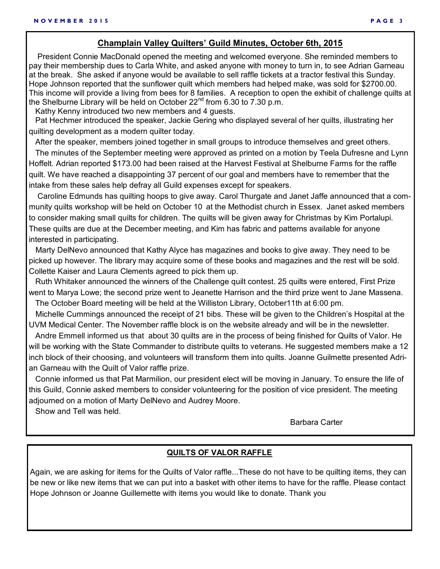#### **Champlain Valley Quilters' Guild Minutes, October 6th, 2015**

 President Connie MacDonald opened the meeting and welcomed everyone. She reminded members to pay their membership dues to Carla White, and asked anyone with money to turn in, to see Adrian Garneau at the break. She asked if anyone would be available to sell raffle tickets at a tractor festival this Sunday. Hope Johnson reported that the sunflower quilt which members had helped make, was sold for \$2700.00. This income will provide a living from bees for 8 families. A reception to open the exhibit of challenge quilts at the Shelburne Library will be held on October  $22^{nd}$  from 6.30 to 7.30 p.m.

Kathy Kenny introduced two new members and 4 guests.

 Pat Hechmer introduced the speaker, Jackie Gering who displayed several of her quilts, illustrating her quilting development as a modern quilter today.

After the speaker, members joined together in small groups to introduce themselves and greet others.

 The minutes of the September meeting were approved as printed on a motion by Teela Dufresne and Lynn Hoffelt. Adrian reported \$173.00 had been raised at the Harvest Festival at Shelburne Farms for the raffle quilt. We have reached a disappointing 37 percent of our goal and members have to remember that the intake from these sales help defray all Guild expenses except for speakers.

 Caroline Edmunds has quilting hoops to give away. Carol Thurgate and Janet Jaffe announced that a community quilts workshop will be held on October 10 at the Methodist church in Essex. Janet asked members to consider making small quilts for children. The quilts will be given away for Christmas by Kim Portalupi. These quilts are due at the December meeting, and Kim has fabric and patterns available for anyone interested in participating.

 Marty DelNevo announced that Kathy Alyce has magazines and books to give away. They need to be picked up however. The library may acquire some of these books and magazines and the rest will be sold. Collette Kaiser and Laura Clements agreed to pick them up.

 Ruth Whitaker announced the winners of the Challenge quilt contest. 25 quilts were entered, First Prize went to Marya Lowe; the second prize went to Jeanette Harrison and the third prize went to Jane Massena. The October Board meeting will be held at the Williston Library, October11th at 6:00 pm.

 Michelle Cummings announced the receipt of 21 bibs. These will be given to the Children's Hospital at the UVM Medical Center. The November raffle block is on the website already and will be in the newsletter.

 Andre Emmell informed us that about 30 quilts are in the process of being finished for Quilts of Valor. He will be working with the State Commander to distribute quilts to veterans. He suggested members make a 12 inch block of their choosing, and volunteers will transform them into quilts. Joanne Guilmette presented Adrian Garneau with the Quilt of Valor raffle prize.

 Connie informed us that Pat Marmilion, our president elect will be moving in January. To ensure the life of this Guild, Connie asked members to consider volunteering for the position of vice president. The meeting adjourned on a motion of Marty DelNevo and Audrey Moore.

Show and Tell was held.

Barbara Carter

#### **QUILTS OF VALOR RAFFLE**

Again, we are asking for items for the Quilts of Valor raffle...These do not have to be quilting items, they can be new or like new items that we can put into a basket with other items to have for the raffle. Please contact Hope Johnson or Joanne Guillemette with items you would like to donate. Thank you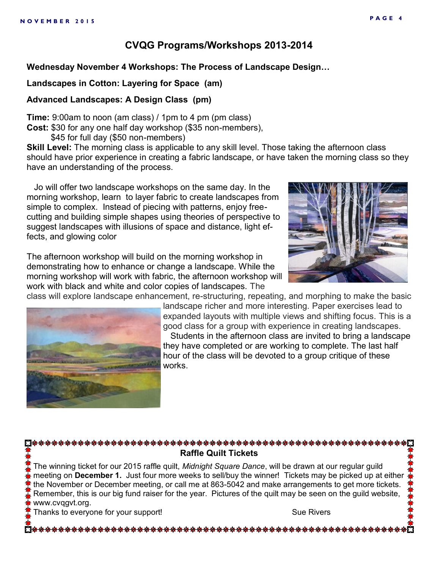## **CVQG Programs/Workshops 2013-2014**

## **Wednesday November 4 Workshops: The Process of Landscape Design…**

## **Landscapes in Cotton: Layering for Space (am)**

## **Advanced Landscapes: A Design Class (pm)**

**Time:** 9:00am to noon (am class) / 1pm to 4 pm (pm class) **Cost:** \$30 for any one half day workshop (\$35 non-members),

\$45 for full day (\$50 non-members)

**Skill Level:** The morning class is applicable to any skill level. Those taking the afternoon class should have prior experience in creating a fabric landscape, or have taken the morning class so they have an understanding of the process.

 Jo will offer two landscape workshops on the same day. In the morning workshop, learn to layer fabric to create landscapes from simple to complex. Instead of piecing with patterns, enjoy freecutting and building simple shapes using theories of perspective to suggest landscapes with illusions of space and distance, light effects, and glowing color

The afternoon workshop will build on the morning workshop in demonstrating how to enhance or change a landscape. While the morning workshop will work with fabric, the afternoon workshop will work with black and white and color copies of landscapes. The class will explore landscape enhancement, re-structuring, repeating, and morphing to make the basic

\*\*\*\*\*\*\*\*\*\*\*\*\*\*\*\*\*\*\*\*\*\*\*\*\*\*\*





landscape richer and more interesting. Paper exercises lead to expanded layouts with multiple views and shifting focus. This is a good class for a group with experience in creating landscapes. Students in the afternoon class are invited to bring a landscape they have completed or are working to complete. The last half hour of the class will be devoted to a group critique of these works.

## **Raffle Quilt Tickets**

The winning ticket for our 2015 raffle quilt, *Midnight Square Dance*, will be drawn at our regular guild meeting on **December 1.** Just four more weeks to sell/buy the winner! Tickets may be picked up at either the November or December meeting, or call me at 863-5042 and make arrangements to get more tickets. Remember, this is our big fund raiser for the year. Pictures of the quilt may be seen on the guild website, www.cvqgvt.org.

Thanks to everyone for your support! Thanks to everyone for your support!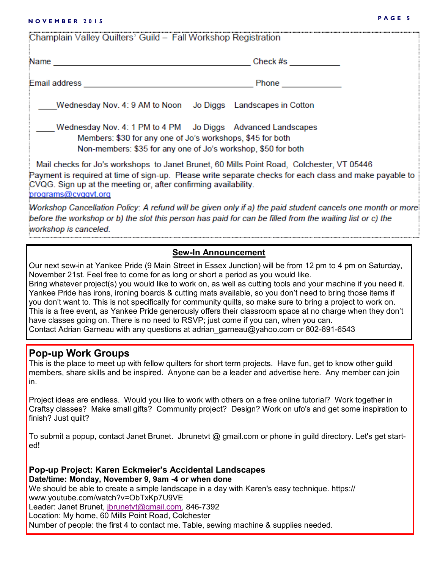## **P A G E 5 N O V E M B E R 2 0 1 5**

| Champlain Valley Quilters' Guild - Fall Workshop Registration                                                                                                                              |                                                                                                         |  |
|--------------------------------------------------------------------------------------------------------------------------------------------------------------------------------------------|---------------------------------------------------------------------------------------------------------|--|
|                                                                                                                                                                                            | Check #s __________                                                                                     |  |
|                                                                                                                                                                                            | Phone <u>and the second second</u>                                                                      |  |
| Wednesday Nov. 4: 9 AM to Noon Jo Diggs Landscapes in Cotton                                                                                                                               |                                                                                                         |  |
| Wednesday Nov. 4: 1 PM to 4 PM Jo Diggs Advanced Landscapes<br>Members: \$30 for any one of Jo's workshops, \$45 for both<br>Non-members: \$35 for any one of Jo's workshop, \$50 for both |                                                                                                         |  |
| Mail checks for Jo's workshops to Janet Brunet, 60 Mills Point Road, Colchester, VT 05446<br>CVQG. Sign up at the meeting or, after confirming availability.<br>programs@cvggvt.org        | Payment is required at time of sign-up. Please write separate checks for each class and make payable to |  |

Workshop Cancellation Policy: A refund will be given only if a) the paid student cancels one month or more before the workshop or b) the slot this person has paid for can be filled from the waiting list or c) the workshop is canceled.

#### **Sew-In Announcement**

Our next sew-in at Yankee Pride (9 Main Street in Essex Junction) will be from 12 pm to 4 pm on Saturday, November 21st. Feel free to come for as long or short a period as you would like.

Bring whatever project(s) you would like to work on, as well as cutting tools and your machine if you need it. Yankee Pride has irons, ironing boards & cutting mats available, so you don't need to bring those items if you don't want to. This is not specifically for community quilts, so make sure to bring a project to work on. This is a free event, as Yankee Pride generously offers their classroom space at no charge when they don't have classes going on. There is no need to RSVP; just come if you can, when you can. Contact Adrian Garneau with any questions at adrian\_garneau@yahoo.com or 802-891-6543

#### **Pop-up Work Groups**

This is the place to meet up with fellow quilters for short term projects. Have fun, get to know other guild members, share skills and be inspired. Anyone can be a leader and advertise here. Any member can join in.

Project ideas are endless. Would you like to work with others on a free online tutorial? Work together in Craftsy classes? Make small gifts? Community project? Design? Work on ufo's and get some inspiration to finish? Just quilt?

To submit a popup, contact Janet Brunet. Jbrunetvt @ gmail.com or phone in guild directory. Let's get started!

**Pop-up Project: Karen Eckmeier's Accidental Landscapes Date/time: Monday, November 9, 9am -4 or when done** We should be able to create a simple landscape in a day with Karen's easy technique. https:// www.youtube.com/watch?v=ObTxKp7U9VE Leader: Janet Brunet, [jbrunetvt@gmail.com,](mailto:jbrunetvt@gmail.com) 846-7392 Location: My home, 60 Mills Point Road, Colchester Number of people: the first 4 to contact me. Table, sewing machine & supplies needed.